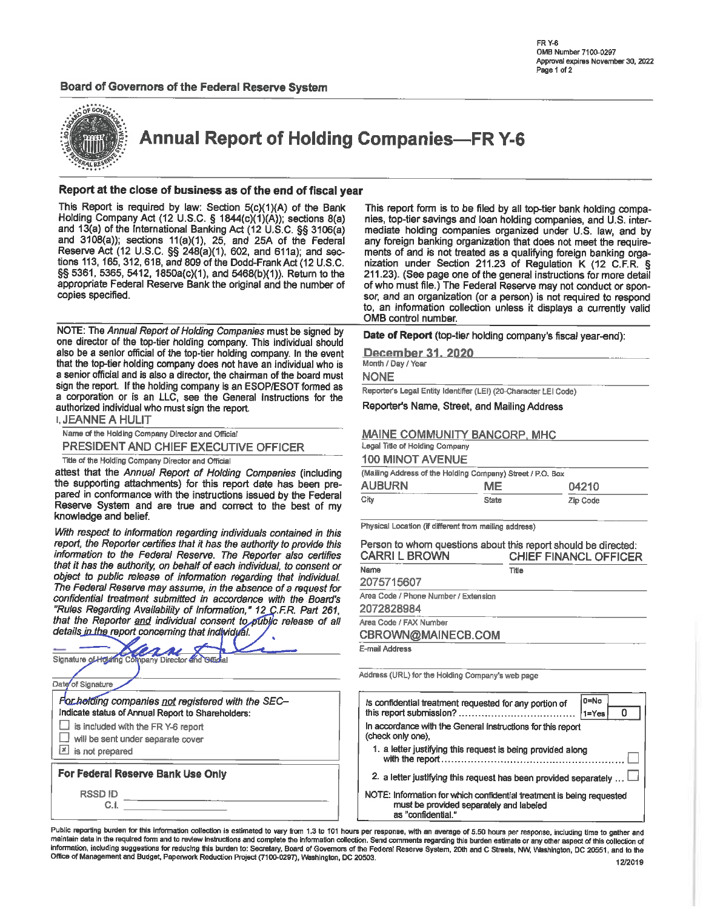

**Annual Report of Holding Companies-FR Y-6** 

### Report at the close of business as of the end of fiscal year

This Report is required by law: Section 5(c)(1)(A) of the Bank Holding Company Act (12 U.S.C. § 1844(c)(1)(A)); sections 8(a) and 13(a) of the International Banking Act (12 U.S.C. §§ 3106(a) and 3108(a)); sections 11(a)(1), 25, and 25A of the Federal Reserve Act (12 U.S.C. §§ 248(a)(1), 602, and 611a); and sections 113, 165, 312, 618, and 809 of the Dodd-Frank Act (12 U.S.C. §§ 5361, 5365, 5412, 1850a(c)(1), and 5468(b)(1)). Return to the appropriate Federal Reserve Bank the original and the number of copies specified.

NOTE: The Annual Report of Holding Companies must be signed by one director of the top-tier holding company. This individual should also be a senior official of the top-tier holding company. In the event that the top-tier holding company does not have an individual who is a senior official and is also a director, the chairman of the board must sign the report. If the holding company is an ESOP/ESOT formed as a corporation or is an LLC, see the General Instructions for the authorized individual who must sign the report.

| <b>I. JEANNE A HULIT</b>                          |
|---------------------------------------------------|
| Name of the Holding Company Director and Official |
| PRESIDENT AND CHIEF EXECUTIVE OFFICER             |

Title of the Holding Company Director and Official

attest that the Annual Report of Holding Companies (including the supporting attachments) for this report date has been prepared in conformance with the instructions issued by the Federal Reserve System and are true and correct to the best of my knowledge and belief.

With respect to information regarding individuals contained in this report, the Reporter certifies that it has the authority to provide this information to the Federal Reserve. The Reporter also certifies that it has the authority, on behalf of each individual, to consent or object to public release of information regarding that individual. The Federal Reserve may assume, in the absence of a request for confidential treatment submitted in accordance with the Board's "Rules Regarding Availability of Information," 12 C.F.R. Part 261, that the Reporter and individual consent to public release of all details in the report concerning that individual.

| Signature of Holaling Company Director and Official |
|-----------------------------------------------------|
|                                                     |
| Date of Signature                                   |
| For hotding companies not registered with the SEC-  |
| Indicate status of Annual Report to Shareholders:   |
| is included with the FR Y-6 report                  |
| will be sent under separate cover                   |
| is not prepared                                     |
| For Federal Reserve Bank Use Only                   |
| <b>RSSDID</b>                                       |
| СI                                                  |

This report form is to be filed by all top-tier bank holding companies, top-tier savings and loan holding companies, and U.S. intermediate holding companies organized under U.S. law, and by any foreign banking organization that does not meet the requirements of and is not treated as a qualifying foreign banking organization under Section 211.23 of Regulation K (12 C.F.R. § 211.23). (See page one of the general instructions for more detail of who must file.) The Federal Reserve may not conduct or sponsor, and an organization (or a person) is not required to respond to, an information collection unless it displays a currently valid OMB control number.

Date of Report (top-tier holding company's fiscal year-end):

December 31, 2020

Month / Day / Year

**NONE** 

Reporter's Legal Entity Identifier (LEI) (20-Character LEI Code)

Reporter's Name, Street, and Mailing Address

### MAINE COMMUNITY BANCORP, MHC

Legal Title of Holding Company **JOO MINIOT AVENUE** 

| TUV MINUT AVENUE                                           |              |          |  |  |  |  |  |  |
|------------------------------------------------------------|--------------|----------|--|--|--|--|--|--|
| (Mailing Address of the Holding Company) Street / P.O. Box |              |          |  |  |  |  |  |  |
| <b>AUBURN</b>                                              | ME           | 04210    |  |  |  |  |  |  |
| City                                                       | <b>State</b> | Zip Code |  |  |  |  |  |  |

Physical Location (if different from mailing address)

| Person to whom questions about this report should be directed:<br><b>CARRI L BROWN</b> | <b>CHIEF FINANCL OFFICER</b> |  |  |  |  |
|----------------------------------------------------------------------------------------|------------------------------|--|--|--|--|
| Name                                                                                   | Title                        |  |  |  |  |
| 2075715607                                                                             |                              |  |  |  |  |
| Area Code / Phone Number / Extension                                                   |                              |  |  |  |  |
| 2072828984                                                                             |                              |  |  |  |  |
| Area Code / FAX Number                                                                 |                              |  |  |  |  |
| CBROWN@MAINECB.COM                                                                     |                              |  |  |  |  |
| E-mail Address                                                                         |                              |  |  |  |  |
|                                                                                        |                              |  |  |  |  |

Address (URL) for the Holding Company's web page

| 0=No<br>Is confidential treatment requested for any portion of<br>$1 = Yes$                                                            |  |  |  |  |  |  |
|----------------------------------------------------------------------------------------------------------------------------------------|--|--|--|--|--|--|
| In accordance with the General Instructions for this report<br>(check only one),                                                       |  |  |  |  |  |  |
| 1. a letter justifying this request is being provided along                                                                            |  |  |  |  |  |  |
| 2. a letter justifying this request has been provided separately                                                                       |  |  |  |  |  |  |
| NOTE: Information for which confidential treatment is being requested<br>must be provided separately and labeled<br>as "confidential." |  |  |  |  |  |  |

Public reporting burden for this information collection is estimated to vary from 1.3 to 101 hours per response, with an average of 5.50 hours per response, including time to gather and maintain data in the required form and to review instructions and complete the information collection. Send comments regarding this burden estimate or any other aspect of this collection of information, including suggestions for reducing this burden to: Secretary, Board of Governors of the Federal Reserve System, 20th and C Streets, NW, Washington, DC 20551, and to the Office of Management and Budget, Paperwork Reduction Project (7100-0297), Washington, DC 20503.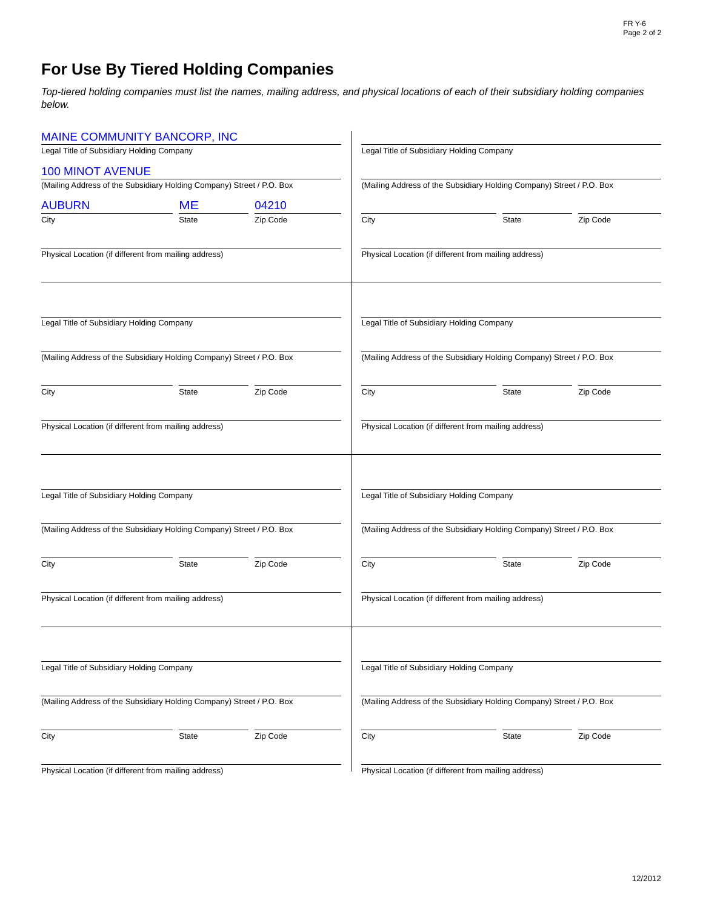# **For Use By Tiered Holding Companies**

*Top-tiered holding companies must list the names, mailing address, and physical locations of each of their subsidiary holding companies below.*

|                                           | MAINE COMMUNITY BANCORP, INC                                          |          |                                           |                                                                       |          |
|-------------------------------------------|-----------------------------------------------------------------------|----------|-------------------------------------------|-----------------------------------------------------------------------|----------|
| Legal Title of Subsidiary Holding Company |                                                                       |          |                                           | Legal Title of Subsidiary Holding Company                             |          |
| <b>100 MINOT AVENUE</b>                   |                                                                       |          |                                           |                                                                       |          |
|                                           | (Mailing Address of the Subsidiary Holding Company) Street / P.O. Box |          |                                           | (Mailing Address of the Subsidiary Holding Company) Street / P.O. Box |          |
| <b>AUBURN</b>                             | <b>ME</b>                                                             | 04210    |                                           |                                                                       |          |
| City                                      | State                                                                 | Zip Code | City                                      | State                                                                 | Zip Code |
|                                           | Physical Location (if different from mailing address)                 |          |                                           | Physical Location (if different from mailing address)                 |          |
| Legal Title of Subsidiary Holding Company |                                                                       |          |                                           | Legal Title of Subsidiary Holding Company                             |          |
|                                           | (Mailing Address of the Subsidiary Holding Company) Street / P.O. Box |          |                                           | (Mailing Address of the Subsidiary Holding Company) Street / P.O. Box |          |
| City                                      | <b>State</b>                                                          | Zip Code | City                                      | <b>State</b>                                                          | Zip Code |
|                                           | Physical Location (if different from mailing address)                 |          |                                           | Physical Location (if different from mailing address)                 |          |
| Legal Title of Subsidiary Holding Company |                                                                       |          |                                           | Legal Title of Subsidiary Holding Company                             |          |
|                                           | (Mailing Address of the Subsidiary Holding Company) Street / P.O. Box |          |                                           | (Mailing Address of the Subsidiary Holding Company) Street / P.O. Box |          |
| City                                      | <b>State</b>                                                          | Zip Code | City                                      | State                                                                 | Zip Code |
|                                           | Physical Location (if different from mailing address)                 |          |                                           | Physical Location (if different from mailing address)                 |          |
| Legal Title of Subsidiary Holding Company |                                                                       |          | Legal Title of Subsidiary Holding Company |                                                                       |          |
|                                           | (Mailing Address of the Subsidiary Holding Company) Street / P.O. Box |          |                                           | (Mailing Address of the Subsidiary Holding Company) Street / P.O. Box |          |
| City                                      | State                                                                 | Zip Code | City                                      | State                                                                 | Zip Code |
|                                           | Physical Location (if different from mailing address)                 |          |                                           | Physical Location (if different from mailing address)                 |          |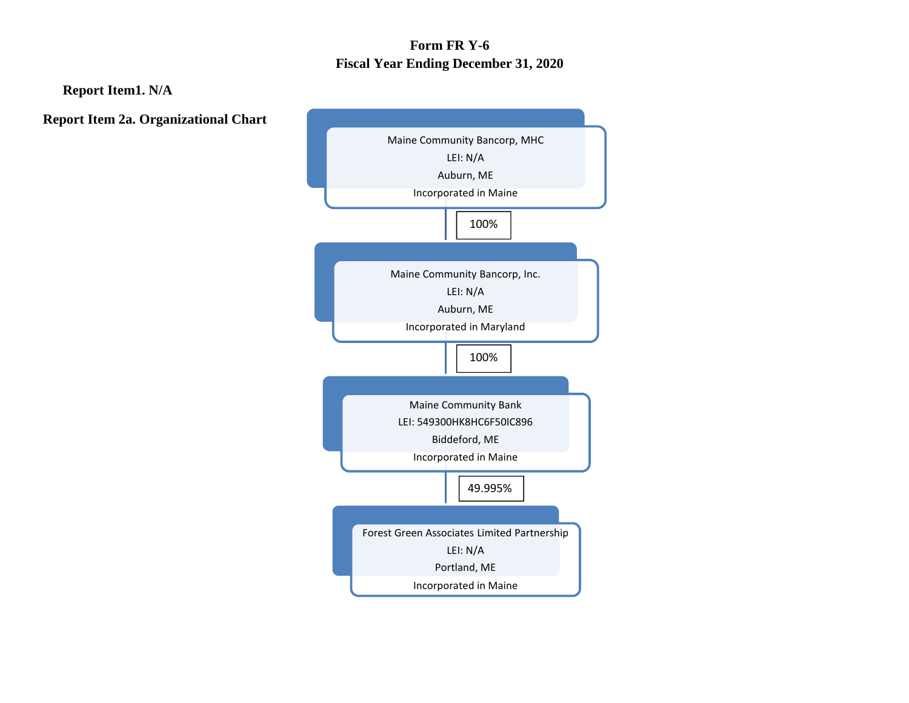# **Form FR Y-6 Fiscal Year Ending December 31, 2020**

**Report Item1. N/A**

**Report Item 2a. Organizational Chart**

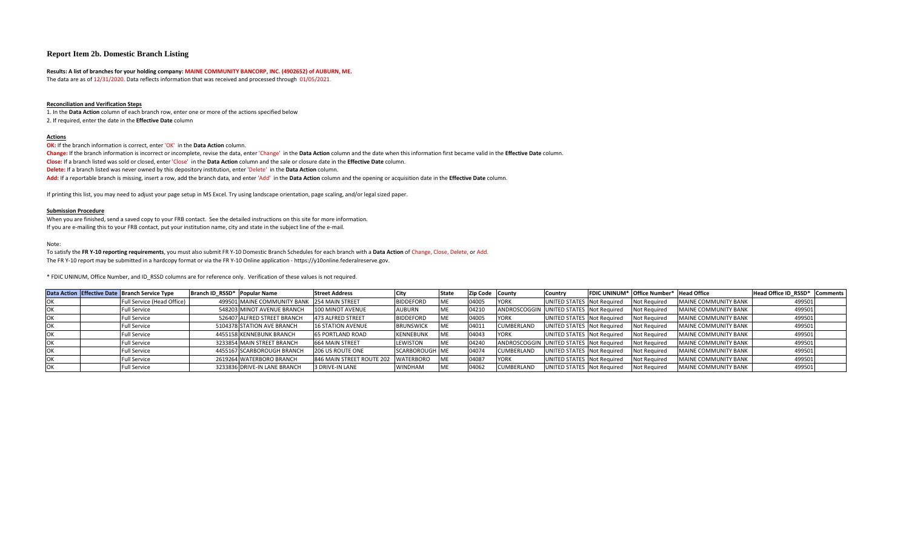#### **Report Item 2b. Domestic Branch Listing**

#### **Results: A list of branches for your holding company: MAINE COMMUNITY BANCORP, INC. (4902652) of AUBURN, ME.**

The data are as of 12/31/2020. Data reflects information that was received and processed through 01/05/2021.

#### **Reconciliation and Verification Steps**

1. In the **Data Action** column of each branch row, enter one or more of the actions specified below 2. If required, enter the date in the **Effective Date** column

#### **Actions**

**OK:** If the branch information is correct, enter 'OK' in the **Data Action** column.

**Change:** If the branch information is incorrect or incomplete, revise the data, enter 'Change' in the **Data Action** column and the date when this information first became valid in the **Effective Date** column.

**Close:** If a branch listed was sold or closed, enter 'Close' in the **Data Action** column and the sale or closure date in the **Effective Date** column.

**Delete:** If a branch listed was never owned by this depository institution, enter 'Delete' in the **Data Action** column.

**Add:** If a reportable branch is missing, insert a row, add the branch data, and enter 'Add' in the **Data Action** column and the opening or acquisition date in the **Effective Date** column.

If printing this list, you may need to adjust your page setup in MS Excel. Try using landscape orientation, page scaling, and/or legal sized paper.

#### **Submission Procedure**

When you are finished, send a saved copy to your FRB contact. See the detailed instructions on this site for more information. If you are e-mailing this to your FRB contact, put your institution name, city and state in the subject line of the e-mail.

#### Note:

To satisfy the **FR Y-10 reporting requirements**, you must also submit FR Y-10 Domestic Branch Schedules for each branch with a **Data Action** of Change, Close, Delete, or Add. The FR Y-10 report may be submitted in a hardcopy format or via the FR Y-10 Online application - https://y10online.federalreserve.gov.

\* FDIC UNINUM, Office Number, and ID\_RSSD columns are for reference only. Verification of these values is not required.

|            | Data Action Effective Date Branch Service Type | Branch ID RSSD* Popular Name |                                             | <b>Street Address</b>     |                  |    | Zip Code County |                                         | Country                    | <b>FDIC UNINUM*</b> Office Number* | <b>Head Office</b>          | Head Office ID RSSD* Comments |  |
|------------|------------------------------------------------|------------------------------|---------------------------------------------|---------------------------|------------------|----|-----------------|-----------------------------------------|----------------------------|------------------------------------|-----------------------------|-------------------------------|--|
|            | Full Service (Head Office)                     |                              | 499501 MAINE COMMUNITY BANK 254 MAIN STREET |                           | <b>BIDDEFORD</b> | МE | 04005           | <b>YORK</b>                             | UNITED STATES Not Required | <b>Not Required</b>                | MAINE COMMUNITY BANK        | 499501                        |  |
| <b>IOK</b> | <b>Full Service</b>                            |                              | 548203 MINOT AVENUE BRANCH                  | 100 MINOT AVENUE          | <b>AUBURN</b>    | МE | 04210           | ANDROSCOGGIN UNITED STATES Not Required |                            | <b>Not Required</b>                | MAINE COMMUNITY BANK        | 499501                        |  |
|            | <b>Full Service</b>                            |                              | 526407 ALFRED STREET BRANCH                 | 473 ALFRED STREET         | <b>BIDDEFORD</b> | МE | 04005           | <b>YORK</b>                             | UNITED STATES Not Required | <b>Not Required</b>                | MAINE COMMUNITY BANK        | 499501                        |  |
|            | <b>Full Service</b>                            |                              | 5104378 STATION AVE BRANCH                  | <b>16 STATION AVENUE</b>  | <b>BRUNSWICK</b> | МE | 04011           | CUMBERLAND                              | UNITED STATES Not Required | <b>Not Required</b>                | MAINE COMMUNITY BANK        | 499501                        |  |
| <b>IOK</b> | <b>Full Service</b>                            |                              | 4455158 KENNEBUNK BRANCH                    | <b>65 PORTLAND ROAD</b>   | <b>KENNEBUNK</b> | ME | 04043           | <b>YORK</b>                             | UNITED STATES Not Required | <b>Not Required</b>                | MAINE COMMUNITY BANK        | 499501                        |  |
|            | <b>Full Service</b>                            |                              | 3233854 MAIN STREET BRANCH                  | 664 MAIN STREET           | <b>LEWISTON</b>  | МE | 04240           | ANDROSCOGGIN UNITED STATES Not Required |                            | <b>Not Required</b>                | MAINE COMMUNITY BANK        | 499501                        |  |
|            | <b>Full Service</b>                            |                              | 4455167 SCARBOROUGH BRANCH                  | <b>206 US ROUTE ONE</b>   | SCARBOROUGH ME   |    | 04074           | CUMBERLAND                              | UNITED STATES Not Required | <b>Not Required</b>                | <b>MAINE COMMUNITY BANK</b> | 499501                        |  |
| OK         | <b>Full Service</b>                            |                              | 2619264 WATERBORO BRANCH                    | 846 MAIN STREET ROUTE 202 | WATERBORO        | МE | 04087           | <b>YORK</b>                             | UNITED STATES Not Required | <b>Not Required</b>                | MAINE COMMUNITY BANK        | 499501                        |  |
|            | <b>Full Service</b>                            |                              | 3233836 DRIVE-IN LANE BRANCH                | 3 DRIVE-IN LANE           | <b>WINDHAM</b>   | МE | 04062           | CUMBERLAND                              | UNITED STATES Not Required | <b>Not Required</b>                | MAINE COMMUNITY BANK        | 499501                        |  |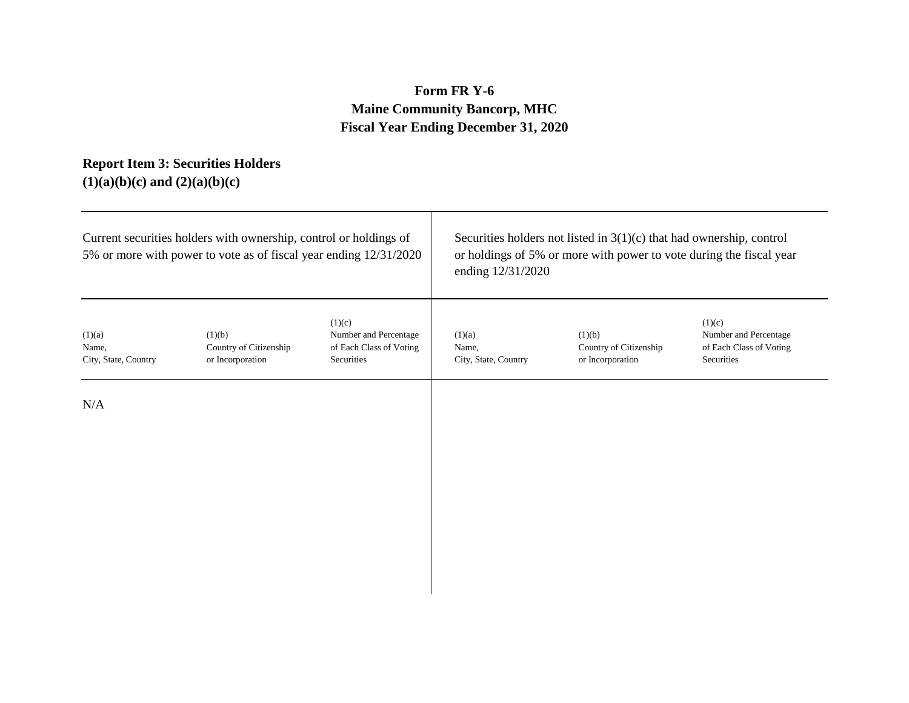# **Form FR Y-6 Maine Community Bancorp, MHC Fiscal Year Ending December 31, 2020**

## **Report Item 3: Securities Holders (1)(a)(b)(c) and (2)(a)(b)(c)**

|                                         | Current securities holders with ownership, control or holdings of<br>5% or more with power to vote as of fiscal year ending 12/31/2020 |                                                                          | Securities holders not listed in $3(1)(c)$ that had ownership, control<br>or holdings of 5% or more with power to vote during the fiscal year<br>ending 12/31/2020 |                                                      |                                                                          |  |  |
|-----------------------------------------|----------------------------------------------------------------------------------------------------------------------------------------|--------------------------------------------------------------------------|--------------------------------------------------------------------------------------------------------------------------------------------------------------------|------------------------------------------------------|--------------------------------------------------------------------------|--|--|
| (1)(a)<br>Name,<br>City, State, Country | (1)(b)<br>Country of Citizenship<br>or Incorporation                                                                                   | (1)(c)<br>Number and Percentage<br>of Each Class of Voting<br>Securities | (1)(a)<br>Name,<br>City, State, Country                                                                                                                            | (1)(b)<br>Country of Citizenship<br>or Incorporation | (1)(c)<br>Number and Percentage<br>of Each Class of Voting<br>Securities |  |  |
| N/A                                     |                                                                                                                                        |                                                                          |                                                                                                                                                                    |                                                      |                                                                          |  |  |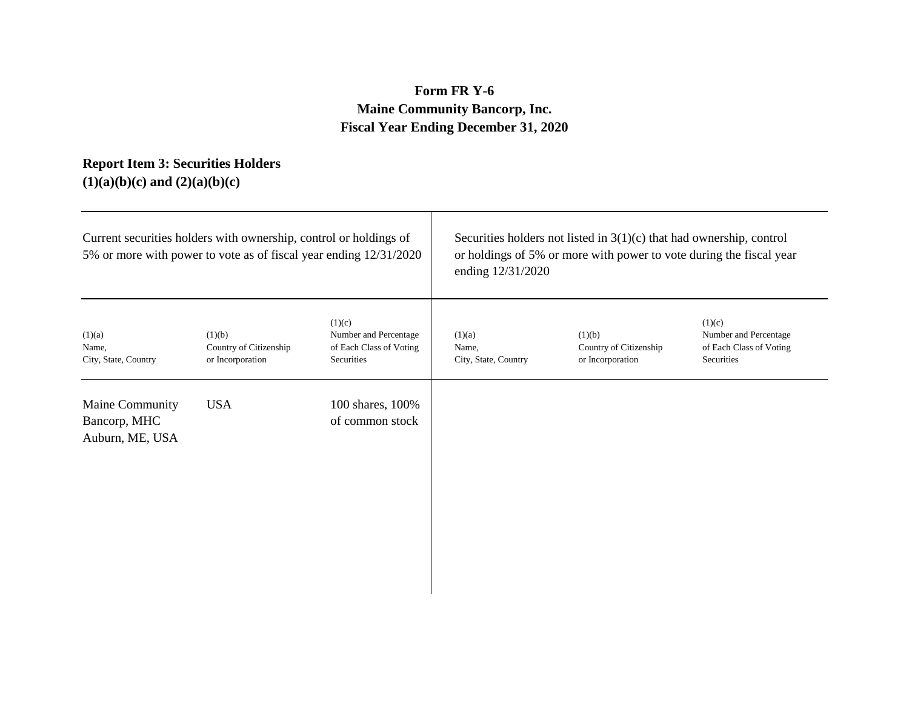# **Form FR Y-6 Maine Community Bancorp, Inc. Fiscal Year Ending December 31, 2020**

## **Report Item 3: Securities Holders (1)(a)(b)(c) and (2)(a)(b)(c)**

|                                                    | Current securities holders with ownership, control or holdings of<br>5% or more with power to vote as of fiscal year ending 12/31/2020 |                                                                          | Securities holders not listed in $3(1)(c)$ that had ownership, control<br>or holdings of 5% or more with power to vote during the fiscal year<br>ending 12/31/2020 |                                                      |                                                                          |  |
|----------------------------------------------------|----------------------------------------------------------------------------------------------------------------------------------------|--------------------------------------------------------------------------|--------------------------------------------------------------------------------------------------------------------------------------------------------------------|------------------------------------------------------|--------------------------------------------------------------------------|--|
| (1)(a)<br>Name,<br>City, State, Country            | (1)(b)<br>Country of Citizenship<br>or Incorporation                                                                                   | (1)(c)<br>Number and Percentage<br>of Each Class of Voting<br>Securities | (1)(a)<br>Name,<br>City, State, Country                                                                                                                            | (1)(b)<br>Country of Citizenship<br>or Incorporation | (1)(c)<br>Number and Percentage<br>of Each Class of Voting<br>Securities |  |
| Maine Community<br>Bancorp, MHC<br>Auburn, ME, USA | <b>USA</b>                                                                                                                             | 100 shares, 100%<br>of common stock                                      |                                                                                                                                                                    |                                                      |                                                                          |  |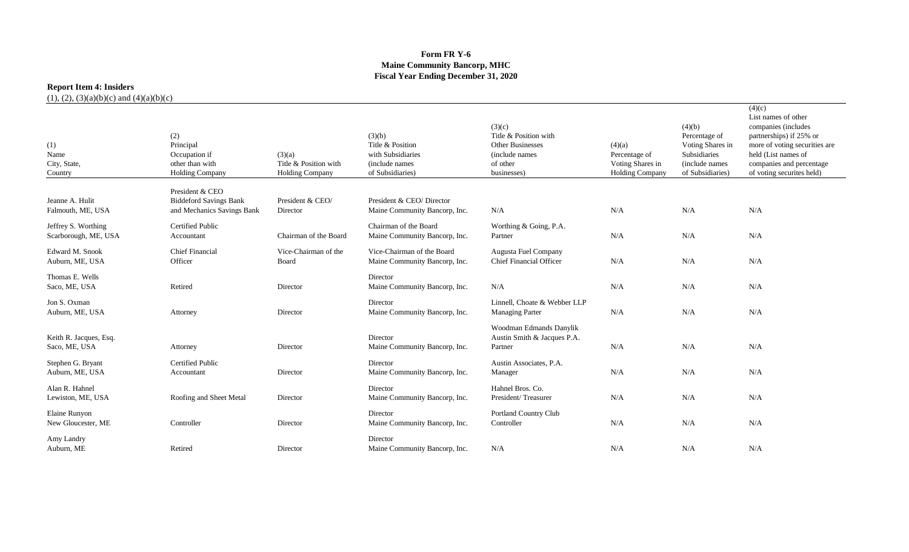### **Form FR Y-6 Maine Community Bancorp, MHC Fiscal Year Ending December 31, 2020**

## **Report Item 4: Insiders**

| (1)<br>Name<br>City, State,<br>Country      | (2)<br>Principal<br>Occupation if<br>other than with<br><b>Holding Company</b> | (3)(a)<br>Title & Position with<br><b>Holding Company</b> | (3)(b)<br>Title & Position<br>with Subsidiaries<br>(include names)<br>of Subsidiaries) | (3)(c)<br>Title & Position with<br>Other Businesses<br>(include names)<br>of other<br>businesses) | (4)(a)<br>Percentage of<br>Voting Shares in<br><b>Holding Company</b> | (4)(b)<br>Percentage of<br>Voting Shares in<br>Subsidiaries<br>(include names)<br>of Subsidiaries) | (4)(c)<br>List names of other<br>companies (includes<br>partnerships) if 25% or<br>more of voting securities are<br>held (List names of<br>companies and percentage<br>of voting securites held) |
|---------------------------------------------|--------------------------------------------------------------------------------|-----------------------------------------------------------|----------------------------------------------------------------------------------------|---------------------------------------------------------------------------------------------------|-----------------------------------------------------------------------|----------------------------------------------------------------------------------------------------|--------------------------------------------------------------------------------------------------------------------------------------------------------------------------------------------------|
|                                             | President & CEO                                                                |                                                           |                                                                                        |                                                                                                   |                                                                       |                                                                                                    |                                                                                                                                                                                                  |
| Jeanne A. Hulit<br>Falmouth, ME, USA        | <b>Biddeford Savings Bank</b><br>and Mechanics Savings Bank                    | President & CEO/<br>Director                              | President & CEO/Director<br>Maine Community Bancorp, Inc.                              | N/A                                                                                               | N/A                                                                   | N/A                                                                                                | N/A                                                                                                                                                                                              |
| Jeffrey S. Worthing<br>Scarborough, ME, USA | <b>Certified Public</b><br>Accountant                                          | Chairman of the Board                                     | Chairman of the Board<br>Maine Community Bancorp, Inc.                                 | Worthing & Going, P.A.<br>Partner                                                                 | N/A                                                                   | N/A                                                                                                | N/A                                                                                                                                                                                              |
| Edward M. Snook<br>Auburn, ME, USA          | <b>Chief Financial</b><br>Officer                                              | Vice-Chairman of the<br>Board                             | Vice-Chairman of the Board<br>Maine Community Bancorp, Inc.                            | Augusta Fuel Company<br><b>Chief Financial Officer</b>                                            | N/A                                                                   | N/A                                                                                                | N/A                                                                                                                                                                                              |
| Thomas E. Wells<br>Saco, ME, USA            | Retired                                                                        | Director                                                  | Director<br>Maine Community Bancorp, Inc.                                              | N/A                                                                                               | N/A                                                                   | N/A                                                                                                | N/A                                                                                                                                                                                              |
| Jon S. Oxman<br>Auburn, ME, USA             | Attorney                                                                       | Director                                                  | Director<br>Maine Community Bancorp, Inc.                                              | Linnell, Choate & Webber LLP<br><b>Managing Parter</b>                                            | N/A                                                                   | N/A                                                                                                | N/A                                                                                                                                                                                              |
| Keith R. Jacques, Esq.<br>Saco, ME, USA     | Attorney                                                                       | Director                                                  | Director<br>Maine Community Bancorp, Inc.                                              | Woodman Edmands Danylik<br>Austin Smith & Jacques P.A.<br>Partner                                 | N/A                                                                   | N/A                                                                                                | N/A                                                                                                                                                                                              |
| Stephen G. Bryant<br>Auburn, ME, USA        | <b>Certified Public</b><br>Accountant                                          | Director                                                  | Director<br>Maine Community Bancorp, Inc.                                              | Austin Associates, P.A.<br>Manager                                                                | N/A                                                                   | N/A                                                                                                | N/A                                                                                                                                                                                              |
| Alan R. Hahnel<br>Lewiston, ME, USA         | Roofing and Sheet Metal                                                        | Director                                                  | Director<br>Maine Community Bancorp, Inc.                                              | Hahnel Bros. Co.<br>President/Treasurer                                                           | N/A                                                                   | N/A                                                                                                | N/A                                                                                                                                                                                              |
| Elaine Runyon<br>New Gloucester, ME         | Controller                                                                     | Director                                                  | Director<br>Maine Community Bancorp, Inc.                                              | Portland Country Club<br>Controller                                                               | N/A                                                                   | N/A                                                                                                | N/A                                                                                                                                                                                              |
| Amy Landry<br>Auburn, ME                    | Retired                                                                        | Director                                                  | Director<br>Maine Community Bancorp, Inc.                                              | N/A                                                                                               | N/A                                                                   | N/A                                                                                                | N/A                                                                                                                                                                                              |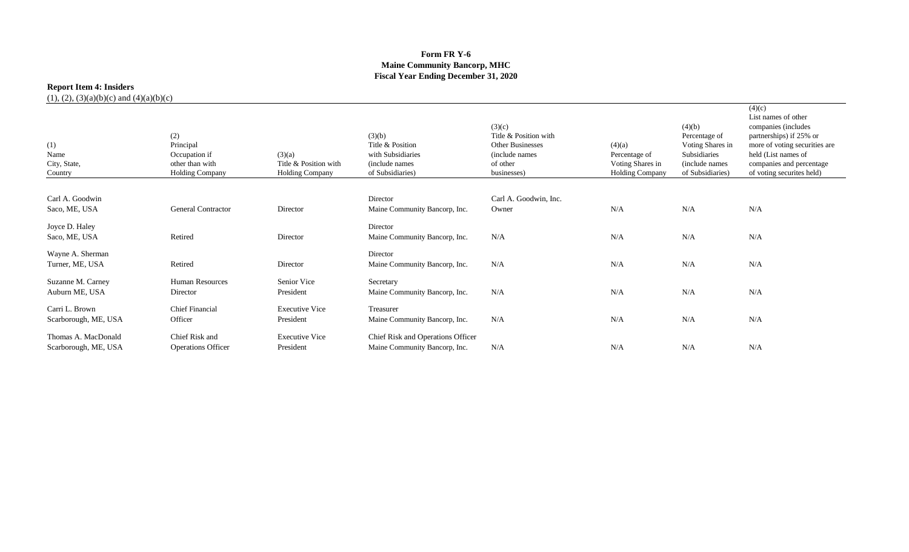### **Form FR Y-6 Maine Community Bancorp, MHC Fiscal Year Ending December 31, 2020**

## **Report Item 4: Insiders**

| (1)<br>Name<br>City, State,<br>Country | (2)<br>Principal<br>Occupation if<br>other than with<br><b>Holding Company</b> | (3)(a)<br>Title & Position with<br><b>Holding Company</b> | (3)(b)<br>Title & Position<br>with Subsidiaries<br>(include names)<br>of Subsidiaries) | (3)(c)<br>Title & Position with<br><b>Other Businesses</b><br>(include names)<br>of other<br>businesses) | (4)(a)<br>Percentage of<br>Voting Shares in<br><b>Holding Company</b> | (4)(b)<br>Percentage of<br>Voting Shares in<br>Subsidiaries<br>(include names)<br>of Subsidiaries) | (4)(c)<br>List names of other<br>companies (includes<br>partnerships) if 25% or<br>more of voting securities are<br>held (List names of<br>companies and percentage<br>of voting securites held) |
|----------------------------------------|--------------------------------------------------------------------------------|-----------------------------------------------------------|----------------------------------------------------------------------------------------|----------------------------------------------------------------------------------------------------------|-----------------------------------------------------------------------|----------------------------------------------------------------------------------------------------|--------------------------------------------------------------------------------------------------------------------------------------------------------------------------------------------------|
|                                        |                                                                                |                                                           |                                                                                        |                                                                                                          |                                                                       |                                                                                                    |                                                                                                                                                                                                  |
| Carl A. Goodwin                        |                                                                                |                                                           | Director                                                                               | Carl A. Goodwin, Inc.                                                                                    |                                                                       |                                                                                                    |                                                                                                                                                                                                  |
| Saco, ME, USA                          | General Contractor                                                             | Director                                                  | Maine Community Bancorp, Inc.                                                          | Owner                                                                                                    | N/A                                                                   | N/A                                                                                                | N/A                                                                                                                                                                                              |
| Joyce D. Haley                         |                                                                                |                                                           | Director                                                                               |                                                                                                          |                                                                       |                                                                                                    |                                                                                                                                                                                                  |
| Saco, ME, USA                          | Retired                                                                        | Director                                                  | Maine Community Bancorp, Inc.                                                          | N/A                                                                                                      | N/A                                                                   | N/A                                                                                                | N/A                                                                                                                                                                                              |
| Wayne A. Sherman                       |                                                                                |                                                           | Director                                                                               |                                                                                                          |                                                                       |                                                                                                    |                                                                                                                                                                                                  |
| Turner, ME, USA                        | Retired                                                                        | Director                                                  | Maine Community Bancorp, Inc.                                                          | N/A                                                                                                      | N/A                                                                   | N/A                                                                                                | N/A                                                                                                                                                                                              |
| Suzanne M. Carney                      | <b>Human Resources</b>                                                         | Senior Vice                                               | Secretary                                                                              |                                                                                                          |                                                                       |                                                                                                    |                                                                                                                                                                                                  |
| Auburn ME, USA                         | Director                                                                       | President                                                 | Maine Community Bancorp, Inc.                                                          | N/A                                                                                                      | N/A                                                                   | N/A                                                                                                | N/A                                                                                                                                                                                              |
| Carri L. Brown                         | <b>Chief Financial</b>                                                         | <b>Executive Vice</b>                                     | Treasurer                                                                              |                                                                                                          |                                                                       |                                                                                                    |                                                                                                                                                                                                  |
| Scarborough, ME, USA                   | Officer                                                                        | President                                                 | Maine Community Bancorp, Inc.                                                          | N/A                                                                                                      | N/A                                                                   | N/A                                                                                                | N/A                                                                                                                                                                                              |
| Thomas A. MacDonald                    | Chief Risk and                                                                 | <b>Executive Vice</b>                                     | Chief Risk and Operations Officer                                                      |                                                                                                          |                                                                       |                                                                                                    |                                                                                                                                                                                                  |
| Scarborough, ME, USA                   | <b>Operations Officer</b>                                                      | President                                                 | Maine Community Bancorp, Inc.                                                          | N/A                                                                                                      | N/A                                                                   | N/A                                                                                                | N/A                                                                                                                                                                                              |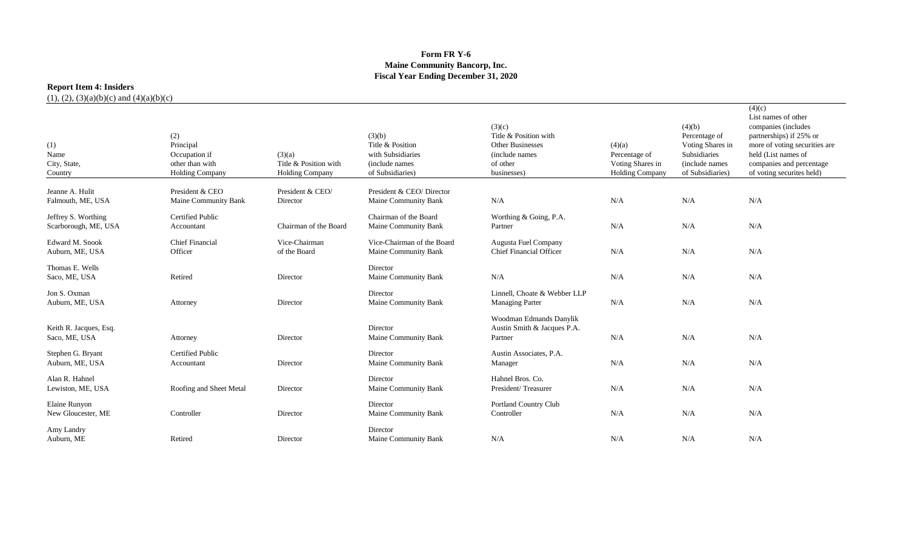### **Form FR Y-6 Maine Community Bancorp, Inc. Fiscal Year Ending December 31, 2020**

## **Report Item 4: Insiders**

| (1)<br>Name<br>City, State,<br>Country      | (2)<br>Principal<br>Occupation if<br>other than with<br><b>Holding Company</b> | (3)(a)<br>Title & Position with<br><b>Holding Company</b> | (3)(b)<br>Title & Position<br>with Subsidiaries<br>(include names)<br>of Subsidiaries) | (3)(c)<br>Title & Position with<br><b>Other Businesses</b><br>(include names<br>of other<br>businesses) | (4)(a)<br>Percentage of<br>Voting Shares in<br><b>Holding Company</b> | (4)(b)<br>Percentage of<br>Voting Shares in<br>Subsidiaries<br>(include names)<br>of Subsidiaries) | (4)(c)<br>List names of other<br>companies (includes<br>partnerships) if 25% or<br>more of voting securities are<br>held (List names of<br>companies and percentage<br>of voting securites held) |
|---------------------------------------------|--------------------------------------------------------------------------------|-----------------------------------------------------------|----------------------------------------------------------------------------------------|---------------------------------------------------------------------------------------------------------|-----------------------------------------------------------------------|----------------------------------------------------------------------------------------------------|--------------------------------------------------------------------------------------------------------------------------------------------------------------------------------------------------|
| Jeanne A. Hulit<br>Falmouth, ME, USA        | President & CEO<br><b>Maine Community Bank</b>                                 | President & CEO/<br>Director                              | President & CEO/Director<br>Maine Community Bank                                       | N/A                                                                                                     | N/A                                                                   | N/A                                                                                                | N/A                                                                                                                                                                                              |
| Jeffrey S. Worthing<br>Scarborough, ME, USA | <b>Certified Public</b><br>Accountant                                          | Chairman of the Board                                     | Chairman of the Board<br>Maine Community Bank                                          | Worthing & Going, P.A.<br>Partner                                                                       | N/A                                                                   | N/A                                                                                                | N/A                                                                                                                                                                                              |
| Edward M. Snook<br>Auburn, ME, USA          | <b>Chief Financial</b><br>Officer                                              | Vice-Chairman<br>of the Board                             | Vice-Chairman of the Board<br>Maine Community Bank                                     | Augusta Fuel Company<br><b>Chief Financial Officer</b>                                                  | N/A                                                                   | N/A                                                                                                | N/A                                                                                                                                                                                              |
| Thomas E. Wells<br>Saco, ME, USA            | Retired                                                                        | Director                                                  | Director<br>Maine Community Bank                                                       | N/A                                                                                                     | N/A                                                                   | N/A                                                                                                | N/A                                                                                                                                                                                              |
| Jon S. Oxman<br>Auburn, ME, USA             | Attorney                                                                       | Director                                                  | Director<br>Maine Community Bank                                                       | Linnell, Choate & Webber LLP<br><b>Managing Parter</b>                                                  | N/A                                                                   | N/A                                                                                                | N/A                                                                                                                                                                                              |
| Keith R. Jacques, Esq.<br>Saco, ME, USA     | Attorney                                                                       | Director                                                  | Director<br>Maine Community Bank                                                       | Woodman Edmands Danylik<br>Austin Smith & Jacques P.A.<br>Partner                                       | N/A                                                                   | N/A                                                                                                | N/A                                                                                                                                                                                              |
| Stephen G. Bryant<br>Auburn, ME, USA        | <b>Certified Public</b><br>Accountant                                          | Director                                                  | Director<br>Maine Community Bank                                                       | Austin Associates, P.A.<br>Manager                                                                      | N/A                                                                   | N/A                                                                                                | N/A                                                                                                                                                                                              |
| Alan R. Hahnel<br>Lewiston, ME, USA         | Roofing and Sheet Metal                                                        | Director                                                  | Director<br>Maine Community Bank                                                       | Hahnel Bros. Co.<br>President/Treasurer                                                                 | N/A                                                                   | N/A                                                                                                | N/A                                                                                                                                                                                              |
| Elaine Runyon<br>New Gloucester, ME         | Controller                                                                     | Director                                                  | Director<br>Maine Community Bank                                                       | Portland Country Club<br>Controller                                                                     | N/A                                                                   | N/A                                                                                                | N/A                                                                                                                                                                                              |
| Amy Landry<br>Auburn, ME                    | Retired                                                                        | Director                                                  | Director<br>Maine Community Bank                                                       | N/A                                                                                                     | N/A                                                                   | N/A                                                                                                | N/A                                                                                                                                                                                              |